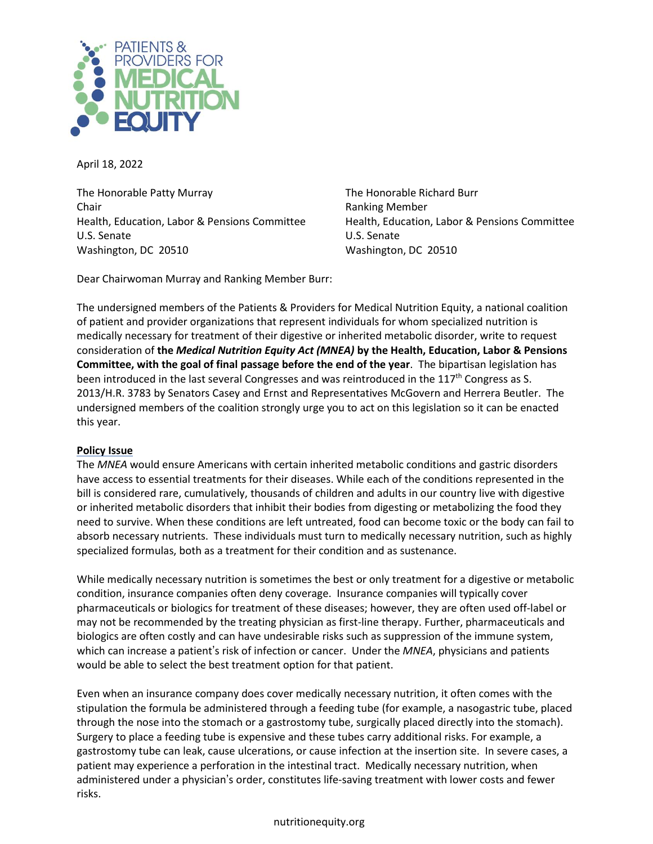

April 18, 2022

The Honorable Patty Murray **The Honorable Richard Burr** The Honorable Richard Burr Chair Ranking Member Health, Education, Labor & Pensions Committee Health, Education, Labor & Pensions Committee U.S. Senate U.S. Senate Washington, DC 20510 Washington, DC 20510

Dear Chairwoman Murray and Ranking Member Burr:

The undersigned members of the Patients & Providers for Medical Nutrition Equity, a national coalition of patient and provider organizations that represent individuals for whom specialized nutrition is medically necessary for treatment of their digestive or inherited metabolic disorder, write to request consideration of **the** *Medical Nutrition Equity Act (MNEA)* **by the Health, Education, Labor & Pensions Committee, with the goal of final passage before the end of the year**. The bipartisan legislation has been introduced in the last several Congresses and was reintroduced in the 117<sup>th</sup> Congress as S. 2013/H.R. 3783 by Senators Casey and Ernst and Representatives McGovern and Herrera Beutler. The undersigned members of the coalition strongly urge you to act on this legislation so it can be enacted this year.

## **Policy Issue**

The *MNEA* would ensure Americans with certain inherited metabolic conditions and gastric disorders have access to essential treatments for their diseases. While each of the conditions represented in the bill is considered rare, cumulatively, thousands of children and adults in our country live with digestive or inherited metabolic disorders that inhibit their bodies from digesting or metabolizing the food they need to survive. When these conditions are left untreated, food can become toxic or the body can fail to absorb necessary nutrients. These individuals must turn to medically necessary nutrition, such as highly specialized formulas, both as a treatment for their condition and as sustenance.

While medically necessary nutrition is sometimes the best or only treatment for a digestive or metabolic condition, insurance companies often deny coverage. Insurance companies will typically cover pharmaceuticals or biologics for treatment of these diseases; however, they are often used off-label or may not be recommended by the treating physician as first-line therapy. Further, pharmaceuticals and biologics are often costly and can have undesirable risks such as suppression of the immune system, which can increase a patient's risk of infection or cancer. Under the *MNEA*, physicians and patients would be able to select the best treatment option for that patient.

Even when an insurance company does cover medically necessary nutrition, it often comes with the stipulation the formula be administered through a feeding tube (for example, a nasogastric tube, placed through the nose into the stomach or a gastrostomy tube, surgically placed directly into the stomach). Surgery to place a feeding tube is expensive and these tubes carry additional risks. For example, a gastrostomy tube can leak, cause ulcerations, or cause infection at the insertion site. In severe cases, a patient may experience a perforation in the intestinal tract. Medically necessary nutrition, when administered under a physician's order, constitutes life-saving treatment with lower costs and fewer risks.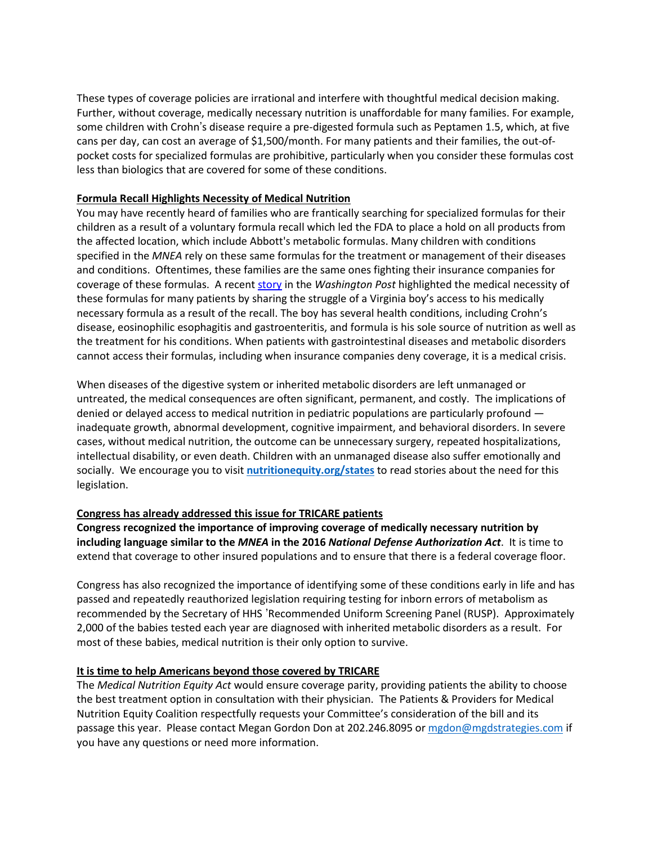These types of coverage policies are irrational and interfere with thoughtful medical decision making. Further, without coverage, medically necessary nutrition is unaffordable for many families. For example, some children with Crohn's disease require a pre-digested formula such as Peptamen 1.5, which, at five cans per day, can cost an average of \$1,500/month. For many patients and their families, the out-ofpocket costs for specialized formulas are prohibitive, particularly when you consider these formulas cost less than biologics that are covered for some of these conditions.

## **Formula Recall Highlights Necessity of Medical Nutrition**

You may have recently heard of families who are frantically searching for specialized formulas for their children as a result of a voluntary formula recall which led the FDA to place a hold on all products from the affected location, which include Abbott's metabolic formulas. Many children with conditions specified in the *MNEA* rely on these same formulas for the treatment or management of their diseases and conditions. Oftentimes, these families are the same ones fighting their insurance companies for coverage of these formulas. A recent [story](https://www.washingtonpost.com/lifestyle/2022/02/23/formula-recall-fda-elecare-allergy/) in the *Washington Post* highlighted the medical necessity of these formulas for many patients by sharing the struggle of a Virginia boy's access to his medically necessary formula as a result of the recall. The boy has several health conditions, including Crohn's disease, eosinophilic esophagitis and gastroenteritis, and formula is his sole source of nutrition as well as the treatment for his conditions. When patients with gastrointestinal diseases and metabolic disorders cannot access their formulas, including when insurance companies deny coverage, it is a medical crisis.

When diseases of the digestive system or inherited metabolic disorders are left unmanaged or untreated, the medical consequences are often significant, permanent, and costly. The implications of denied or delayed access to medical nutrition in pediatric populations are particularly profound inadequate growth, abnormal development, cognitive impairment, and behavioral disorders. In severe cases, without medical nutrition, the outcome can be unnecessary surgery, repeated hospitalizations, intellectual disability, or even death. Children with an unmanaged disease also suffer emotionally and socially. We encourage you to visit **nutritionequity.org/states** to read stories about the need for this legislation.

## **Congress has already addressed this issue for TRICARE patients**

**Congress recognized the importance of improving coverage of medically necessary nutrition by including language similar to the** *MNEA* **in the 2016** *National Defense Authorization Act*. It is time to extend that coverage to other insured populations and to ensure that there is a federal coverage floor.

Congress has also recognized the importance of identifying some of these conditions early in life and has passed and repeatedly reauthorized legislation requiring testing for inborn errors of metabolism as recommended by the Secretary of HHS 'Recommended Uniform Screening Panel (RUSP). Approximately 2,000 of the babies tested each year are diagnosed with inherited metabolic disorders as a result. For most of these babies, medical nutrition is their only option to survive.

## **It is time to help Americans beyond those covered by TRICARE**

The *Medical Nutrition Equity Act* would ensure coverage parity, providing patients the ability to choose the best treatment option in consultation with their physician. The Patients & Providers for Medical Nutrition Equity Coalition respectfully requests your Committee's consideration of the bill and its passage this year. Please contact Megan Gordon Don at 202.246.8095 or [mgdon@mgdstrategies.com](mailto:mgdon@mgdstrategies.com) if you have any questions or need more information.